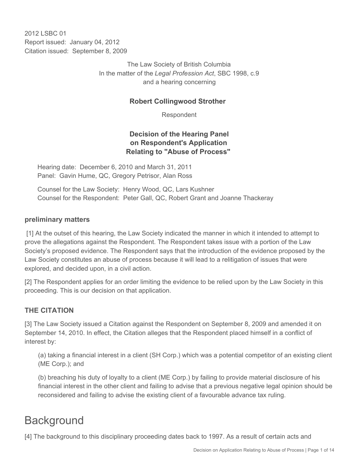2012 LSBC 01 Report issued: January 04, 2012 Citation issued: September 8, 2009

> The Law Society of British Columbia In the matter of the *Legal Profession Act*, SBC 1998, c.9 and a hearing concerning

#### **Robert Collingwood Strother**

Respondent

## **Decision of the Hearing Panel on Respondent's Application Relating to "Abuse of Process"**

Hearing date: December 6, 2010 and March 31, 2011 Panel: Gavin Hume, QC, Gregory Petrisor, Alan Ross

Counsel for the Law Society: Henry Wood, QC, Lars Kushner Counsel for the Respondent: Peter Gall, QC, Robert Grant and Joanne Thackeray

#### **preliminary matters**

 [1] At the outset of this hearing, the Law Society indicated the manner in which it intended to attempt to prove the allegations against the Respondent. The Respondent takes issue with a portion of the Law Society's proposed evidence. The Respondent says that the introduction of the evidence proposed by the Law Society constitutes an abuse of process because it will lead to a relitigation of issues that were explored, and decided upon, in a civil action.

[2] The Respondent applies for an order limiting the evidence to be relied upon by the Law Society in this proceeding. This is our decision on that application.

### **THE CITATION**

[3] The Law Society issued a Citation against the Respondent on September 8, 2009 and amended it on September 14, 2010. In effect, the Citation alleges that the Respondent placed himself in a conflict of interest by:

(a) taking a financial interest in a client (SH Corp.) which was a potential competitor of an existing client (ME Corp.); and

(b) breaching his duty of loyalty to a client (ME Corp.) by failing to provide material disclosure of his financial interest in the other client and failing to advise that a previous negative legal opinion should be reconsidered and failing to advise the existing client of a favourable advance tax ruling.

# **Background**

[4] The background to this disciplinary proceeding dates back to 1997. As a result of certain acts and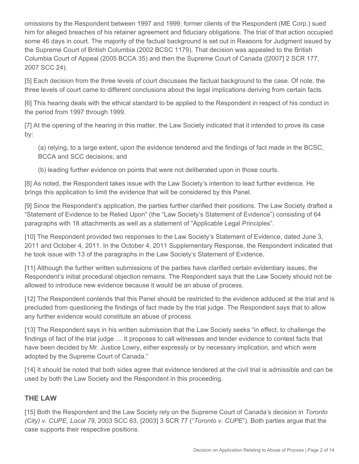omissions by the Respondent between 1997 and 1999, former clients of the Respondent (ME Corp.) sued him for alleged breaches of his retainer agreement and fiduciary obligations. The trial of that action occupied some 46 days in court. The majority of the factual background is set out in Reasons for Judgment issued by the Supreme Court of British Columbia (2002 BCSC 1179). That decision was appealed to the British Columbia Court of Appeal (2005 BCCA 35) and then the Supreme Court of Canada ([2007] 2 SCR 177, 2007 SCC 24).

[5] Each decision from the three levels of court discusses the factual background to the case. Of note, the three levels of court came to different conclusions about the legal implications deriving from certain facts.

[6] This hearing deals with the ethical standard to be applied to the Respondent in respect of his conduct in the period from 1997 through 1999.

[7] At the opening of the hearing in this matter, the Law Society indicated that it intended to prove its case by:

(a) relying, to a large extent, upon the evidence tendered and the findings of fact made in the BCSC, BCCA and SCC decisions; and

(b) leading further evidence on points that were not deliberated upon in those courts.

[8] As noted, the Respondent takes issue with the Law Society's intention to lead further evidence. He brings this application to limit the evidence that will be considered by this Panel.

[9] Since the Respondent's application, the parties further clarified their positions. The Law Society drafted a "Statement of Evidence to be Relied Upon" (the "Law Society's Statement of Evidence") consisting of 64 paragraphs with 18 attachments as well as a statement of "Applicable Legal Principles".

[10] The Respondent provided two responses to the Law Society's Statement of Evidence, dated June 3, 2011 and October 4, 2011. In the October 4, 2011 Supplementary Response, the Respondent indicated that he took issue with 13 of the paragraphs in the Law Society's Statement of Evidence.

[11] Although the further written submissions of the parties have clarified certain evidentiary issues, the Respondent's initial procedural objection remains. The Respondent says that the Law Society should not be allowed to introduce new evidence because it would be an abuse of process.

[12] The Respondent contends that this Panel should be restricted to the evidence adduced at the trial and is precluded from questioning the findings of fact made by the trial judge. The Respondent says that to allow any further evidence would constitute an abuse of process.

[13] The Respondent says in his written submission that the Law Society seeks "in effect, to challenge the findings of fact of the trial judge … It proposes to call witnesses and tender evidence to contest facts that have been decided by Mr. Justice Lowry, either expressly or by necessary implication, and which were adopted by the Supreme Court of Canada."

[14] It should be noted that both sides agree that evidence tendered at the civil trial is admissible and can be used by both the Law Society and the Respondent in this proceeding.

### **THE LAW**

[15] Both the Respondent and the Law Society rely on the Supreme Court of Canada's decision in *Toronto (City) v. CUPE, Local 79*, 2003 SCC 63, [2003] 3 SCR 77 ("*Toronto v. CUPE*"). Both parties argue that the case supports their respective positions.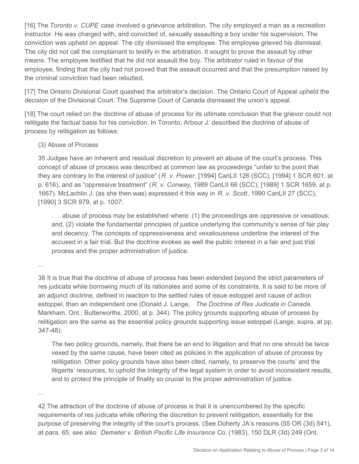[16] The *Toronto v. CUPE* case involved a grievance arbitration. The city employed a man as a recreation instructor. He was charged with, and convicted of, sexually assaulting a boy under his supervision. The conviction was upheld on appeal. The city dismissed the employee. The employee grieved his dismissal. The city did not call the complainant to testify in the arbitration. It sought to prove the assault by other means. The employee testified that he did not assault the boy. The arbitrator ruled in favour of the employee, finding that the city had not proved that the assault occurred and that the presumption raised by the criminal conviction had been rebutted.

[17] The Ontario Divisional Court quashed the arbitrator's decision. The Ontario Court of Appeal upheld the decision of the Divisional Court. The Supreme Court of Canada dismissed the union's appeal.

[18] The court relied on the doctrine of abuse of process for its ultimate conclusion that the grievor could not relitigate the factual basis for his conviction. In Toronto, Arbour J. described the doctrine of abuse of process by relitigation as follows:

#### (3) Abuse of Process

35 Judges have an inherent and residual discretion to prevent an abuse of the court's process. This concept of abuse of process was described at common law as proceedings "unfair to the point that they are contrary to the interest of justice" (*R. v. Power*, [1994] CanLII 126 (SCC), [1994] 1 SCR 601, at p. 616), and as "oppressive treatment" (*R. v. Conway*, 1989 CanLII 66 (SCC), [1989] 1 SCR 1659, at p. 1667). McLachlin J. (as she then was) expressed it this way in *R. v. Scott*, 1990 CanLII 27 (SCC), [1990] 3 SCR 979, at p. 1007:

... abuse of process may be established where: (1) the proceedings are oppressive or vexatious; and, (2) violate the fundamental principles of justice underlying the community's sense of fair play and decency. The concepts of oppressiveness and vexatiousness underline the interest of the accused in a fair trial. But the doctrine evokes as well the public interest in a fair and just trial process and the proper administration of justice.

…

38 It is true that the doctrine of abuse of process has been extended beyond the strict parameters of res judicata while borrowing much of its rationales and some of its constraints. It is said to be more of an adjunct doctrine, defined in reaction to the settled rules of issue estoppel and cause of action estoppel, than an independent one (Donald J. Lange, *The Doctrine of Res Judicata in Canada*. Markham, Ont.: Butterworths, 2000, at p. 344). The policy grounds supporting abuse of process by relitigation are the same as the essential policy grounds supporting issue estoppel (Lange, supra, at pp. 347-48):

The two policy grounds, namely, that there be an end to litigation and that no one should be twice vexed by the same cause, have been cited as policies in the application of abuse of process by relitigation. Other policy grounds have also been cited, namely, to preserve the courts' and the litigants' resources, to uphold the integrity of the legal system in order to avoid inconsistent results, and to protect the principle of finality so crucial to the proper administration of justice.

…

42 The attraction of the doctrine of abuse of process is that it is unencumbered by the specific requirements of res judicata while offering the discretion to prevent relitigation, essentially for the purpose of preserving the integrity of the court's process. (See Doherty JA's reasons (55 OR (3d) 541), at para. 65; see also *Demeter v. British Pacific Life Insurance Co.* (1983), 150 DLR (3d) 249 (Ont.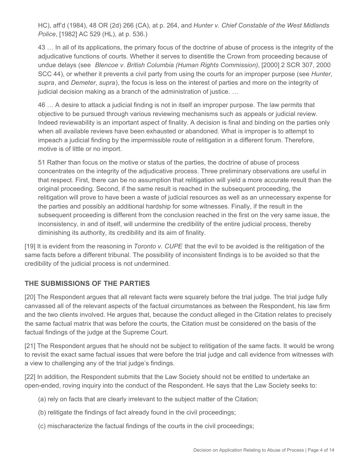HC), aff'd (1984), 48 OR (2d) 266 (CA), at p. 264, and *Hunter v. Chief Constable of the West Midlands Police*, [1982] AC 529 (HL), at p. 536.)

43 … In all of its applications, the primary focus of the doctrine of abuse of process is the integrity of the adjudicative functions of courts. Whether it serves to disentitle the Crown from proceeding because of undue delays (see *Blencoe v. British Columbia (Human Rights Commission)*, [2000] 2 SCR 307, 2000 SCC 44), or whether it prevents a civil party from using the courts for an improper purpose (see *Hunter*, *supra*, and *Demeter*, *supra*), the focus is less on the interest of parties and more on the integrity of judicial decision making as a branch of the administration of justice. …

46 … A desire to attack a judicial finding is not in itself an improper purpose. The law permits that objective to be pursued through various reviewing mechanisms such as appeals or judicial review. Indeed reviewability is an important aspect of finality. A decision is final and binding on the parties only when all available reviews have been exhausted or abandoned. What is improper is to attempt to impeach a judicial finding by the impermissible route of relitigation in a different forum. Therefore, motive is of little or no import.

51 Rather than focus on the motive or status of the parties, the doctrine of abuse of process concentrates on the integrity of the adjudicative process. Three preliminary observations are useful in that respect. First, there can be no assumption that relitigation will yield a more accurate result than the original proceeding. Second, if the same result is reached in the subsequent proceeding, the relitigation will prove to have been a waste of judicial resources as well as an unnecessary expense for the parties and possibly an additional hardship for some witnesses. Finally, if the result in the subsequent proceeding is different from the conclusion reached in the first on the very same issue, the inconsistency, in and of itself, will undermine the credibility of the entire judicial process, thereby diminishing its authority, its credibility and its aim of finality.

[19] It is evident from the reasoning in *Toronto v. CUPE* that the evil to be avoided is the relitigation of the same facts before a different tribunal. The possibility of inconsistent findings is to be avoided so that the credibility of the judicial process is not undermined.

### **THE SUBMISSIONS OF THE PARTIES**

[20] The Respondent argues that all relevant facts were squarely before the trial judge. The trial judge fully canvassed all of the relevant aspects of the factual circumstances as between the Respondent, his law firm and the two clients involved. He argues that, because the conduct alleged in the Citation relates to precisely the same factual matrix that was before the courts, the Citation must be considered on the basis of the factual findings of the judge at the Supreme Court.

[21] The Respondent argues that he should not be subject to relitigation of the same facts. It would be wrong to revisit the exact same factual issues that were before the trial judge and call evidence from witnesses with a view to challenging any of the trial judge's findings.

[22] In addition, the Respondent submits that the Law Society should not be entitled to undertake an open-ended, roving inquiry into the conduct of the Respondent. He says that the Law Society seeks to:

- (a) rely on facts that are clearly irrelevant to the subject matter of the Citation;
- (b) relitigate the findings of fact already found in the civil proceedings;
- (c) mischaracterize the factual findings of the courts in the civil proceedings;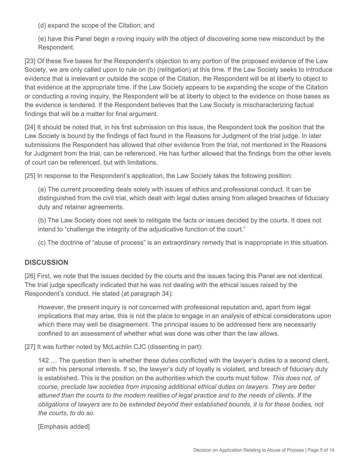(d) expand the scope of the Citation; and

(e) have this Panel begin a roving inquiry with the object of discovering some new misconduct by the Respondent.

[23] Of these five bases for the Respondent's objection to any portion of the proposed evidence of the Law Society, we are only called upon to rule on (b) (relitigation) at this time. If the Law Society seeks to introduce evidence that is irrelevant or outside the scope of the Citation, the Respondent will be at liberty to object to that evidence at the appropriate time. If the Law Society appears to be expanding the scope of the Citation or conducting a roving inquiry, the Respondent will be at liberty to object to the evidence on those bases as the evidence is tendered. If the Respondent believes that the Law Society is mischaracterizing factual findings that will be a matter for final argument.

[24] It should be noted that, in his first submission on this issue, the Respondent took the position that the Law Society is bound by the findings of fact found in the Reasons for Judgment of the trial judge. In later submissions the Respondent has allowed that other evidence from the trial, not mentioned in the Reasons for Judgment from the trial, can be referenced. He has further allowed that the findings from the other levels of court can be referenced, but with limitations.

[25] In response to the Respondent's application, the Law Society takes the following position:

(a) The current proceeding deals solely with issues of ethics and professional conduct. It can be distinguished from the civil trial, which dealt with legal duties arising from alleged breaches of fiduciary duty and retainer agreements.

(b) The Law Society does not seek to relitigate the facts or issues decided by the courts. It does not intend to "challenge the integrity of the adjudicative function of the court."

(c) The doctrine of "abuse of process" is an extraordinary remedy that is inappropriate in this situation.

#### **DISCUSSION**

[26] First, we note that the issues decided by the courts and the issues facing this Panel are not identical. The trial judge specifically indicated that he was not dealing with the ethical issues raised by the Respondent's conduct. He stated (at paragraph 34):

However, the present inquiry is not concerned with professional reputation and, apart from legal implications that may arise, this is not the place to engage in an analysis of ethical considerations upon which there may well be disagreement. The principal issues to be addressed here are necessarily confined to an assessment of whether what was done was other than the law allows.

[27] It was further noted by McLachlin CJC (dissenting in part):

142 … The question then is whether these duties conflicted with the lawyer's duties to a second client, or with his personal interests. If so, the lawyer's duty of loyalty is violated, and breach of fiduciary duty is established. This is the position on the authorities which the courts must follow. *This does not, of course, preclude law societies from imposing additional ethical duties on lawyers. They are better attuned than the courts to the modern realities of legal practice and to the needs of clients. If the obligations of lawyers are to be extended beyond their established bounds, it is for these bodies, not the courts, to do so.*

[Emphasis added]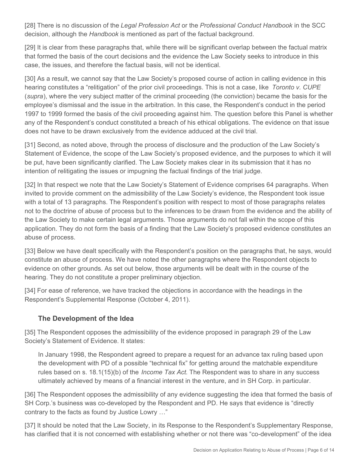[28] There is no discussion of the *Legal Profession Act* or the *Professional Conduct Handbook* in the SCC decision, although the *Handbook* is mentioned as part of the factual background.

[29] It is clear from these paragraphs that, while there will be significant overlap between the factual matrix that formed the basis of the court decisions and the evidence the Law Society seeks to introduce in this case, the issues, and therefore the factual basis, will not be identical.

[30] As a result, we cannot say that the Law Society's proposed course of action in calling evidence in this hearing constitutes a "relitigation" of the prior civil proceedings. This is not a case, like *Toronto v. CUPE*  (*supra*), where the very subject matter of the criminal proceeding (the conviction) became the basis for the employee's dismissal and the issue in the arbitration. In this case, the Respondent's conduct in the period 1997 to 1999 formed the basis of the civil proceeding against him. The question before this Panel is whether any of the Respondent's conduct constituted a breach of his ethical obligations. The evidence on that issue does not have to be drawn exclusively from the evidence adduced at the civil trial.

[31] Second, as noted above, through the process of disclosure and the production of the Law Society's Statement of Evidence, the scope of the Law Society's proposed evidence, and the purposes to which it will be put, have been significantly clarified. The Law Society makes clear in its submission that it has no intention of relitigating the issues or impugning the factual findings of the trial judge.

[32] In that respect we note that the Law Society's Statement of Evidence comprises 64 paragraphs. When invited to provide comment on the admissibility of the Law Society's evidence, the Respondent took issue with a total of 13 paragraphs. The Respondent's position with respect to most of those paragraphs relates not to the doctrine of abuse of process but to the inferences to be drawn from the evidence and the ability of the Law Society to make certain legal arguments. Those arguments do not fall within the scope of this application. They do not form the basis of a finding that the Law Society's proposed evidence constitutes an abuse of process.

[33] Below we have dealt specifically with the Respondent's position on the paragraphs that, he says, would constitute an abuse of process. We have noted the other paragraphs where the Respondent objects to evidence on other grounds. As set out below, those arguments will be dealt with in the course of the hearing. They do not constitute a proper preliminary objection.

[34] For ease of reference, we have tracked the objections in accordance with the headings in the Respondent's Supplemental Response (October 4, 2011).

### **The Development of the Idea**

[35] The Respondent opposes the admissibility of the evidence proposed in paragraph 29 of the Law Society's Statement of Evidence. It states:

In January 1998, the Respondent agreed to prepare a request for an advance tax ruling based upon the development with PD of a possible "technical fix" for getting around the matchable expenditure rules based on s. 18.1(15)(b) of the *Income Tax Act*. The Respondent was to share in any success ultimately achieved by means of a financial interest in the venture, and in SH Corp. in particular.

[36] The Respondent opposes the admissibility of any evidence suggesting the idea that formed the basis of SH Corp.'s business was co-developed by the Respondent and PD. He says that evidence is "directly contrary to the facts as found by Justice Lowry …"

[37] It should be noted that the Law Society, in its Response to the Respondent's Supplementary Response, has clarified that it is not concerned with establishing whether or not there was "co-development" of the idea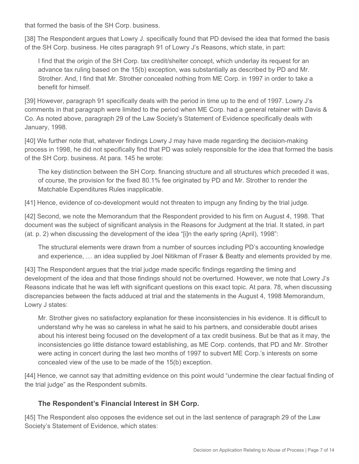that formed the basis of the SH Corp. business.

[38] The Respondent argues that Lowry J. specifically found that PD devised the idea that formed the basis of the SH Corp. business. He cites paragraph 91 of Lowry J's Reasons, which state, in part:

I find that the origin of the SH Corp. tax credit/shelter concept, which underlay its request for an advance tax ruling based on the 15(b) exception, was substantially as described by PD and Mr. Strother. And, I find that Mr. Strother concealed nothing from ME Corp. in 1997 in order to take a benefit for himself.

[39] However, paragraph 91 specifically deals with the period in time up to the end of 1997. Lowry J's comments in that paragraph were limited to the period when ME Corp. had a general retainer with Davis & Co. As noted above, paragraph 29 of the Law Society's Statement of Evidence specifically deals with January, 1998.

[40] We further note that, whatever findings Lowry J may have made regarding the decision-making process in 1998, he did not specifically find that PD was solely responsible for the idea that formed the basis of the SH Corp. business. At para. 145 he wrote:

The key distinction between the SH Corp. financing structure and all structures which preceded it was, of course, the provision for the fixed 80.1% fee originated by PD and Mr. Strother to render the Matchable Expenditures Rules inapplicable.

[41] Hence, evidence of co-development would not threaten to impugn any finding by the trial judge.

[42] Second, we note the Memorandum that the Respondent provided to his firm on August 4, 1998. That document was the subject of significant analysis in the Reasons for Judgment at the trial. It stated, in part (at. p. 2) when discussing the development of the idea "[i]n the early spring (April), 1998":

The structural elements were drawn from a number of sources including PD's accounting knowledge and experience, … an idea supplied by Joel Nitikman of Fraser & Beatty and elements provided by me.

[43] The Respondent argues that the trial judge made specific findings regarding the timing and development of the idea and that those findings should not be overturned. However, we note that Lowry J's Reasons indicate that he was left with significant questions on this exact topic. At para. 78, when discussing discrepancies between the facts adduced at trial and the statements in the August 4, 1998 Memorandum, Lowry J states:

Mr. Strother gives no satisfactory explanation for these inconsistencies in his evidence. It is difficult to understand why he was so careless in what he said to his partners, and considerable doubt arises about his interest being focused on the development of a tax credit business. But be that as it may, the inconsistencies go little distance toward establishing, as ME Corp. contends, that PD and Mr. Strother were acting in concert during the last two months of 1997 to subvert ME Corp.'s interests on some concealed view of the use to be made of the 15(b) exception.

[44] Hence, we cannot say that admitting evidence on this point would "undermine the clear factual finding of the trial judge" as the Respondent submits.

# **The Respondent's Financial Interest in SH Corp.**

[45] The Respondent also opposes the evidence set out in the last sentence of paragraph 29 of the Law Society's Statement of Evidence, which states: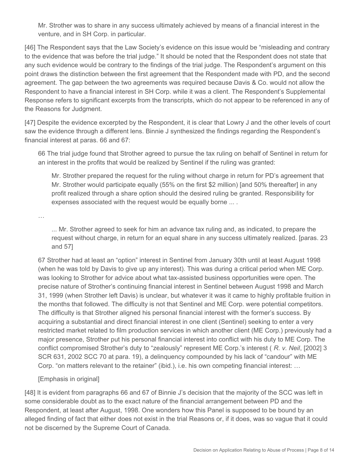Mr. Strother was to share in any success ultimately achieved by means of a financial interest in the venture, and in SH Corp. in particular.

[46] The Respondent says that the Law Society's evidence on this issue would be "misleading and contrary to the evidence that was before the trial judge." It should be noted that the Respondent does not state that any such evidence would be contrary to the findings of the trial judge. The Respondent's argument on this point draws the distinction between the first agreement that the Respondent made with PD, and the second agreement. The gap between the two agreements was required because Davis & Co. would not allow the Respondent to have a financial interest in SH Corp. while it was a client. The Respondent's Supplemental Response refers to significant excerpts from the transcripts, which do not appear to be referenced in any of the Reasons for Judgment.

[47] Despite the evidence excerpted by the Respondent, it is clear that Lowry J and the other levels of court saw the evidence through a different lens. Binnie J synthesized the findings regarding the Respondent's financial interest at paras. 66 and 67:

66 The trial judge found that Strother agreed to pursue the tax ruling on behalf of Sentinel in return for an interest in the profits that would be realized by Sentinel if the ruling was granted:

Mr. Strother prepared the request for the ruling without charge in return for PD's agreement that Mr. Strother would participate equally (55% on the first \$2 million) [and 50% thereafter] in any profit realized through a share option should the desired ruling be granted. Responsibility for expenses associated with the request would be equally borne ... .

…

... Mr. Strother agreed to seek for him an advance tax ruling and, as indicated, to prepare the request without charge, in return for an equal share in any success ultimately realized. [paras. 23 and 57]

67 Strother had at least an "option" interest in Sentinel from January 30th until at least August 1998 (when he was told by Davis to give up any interest). This was during a critical period when ME Corp. was looking to Strother for advice about what tax-assisted business opportunities were open. The precise nature of Strother's continuing financial interest in Sentinel between August 1998 and March 31, 1999 (when Strother left Davis) is unclear, but whatever it was it came to highly profitable fruition in the months that followed. The difficulty is not that Sentinel and ME Corp. were potential competitors. The difficulty is that Strother aligned his personal financial interest with the former's success. By acquiring a substantial and direct financial interest in one client (Sentinel) seeking to enter a very restricted market related to film production services in which another client (ME Corp.) previously had a major presence, Strother put his personal financial interest into conflict with his duty to ME Corp. The conflict compromised Strother's duty to "zealously" represent ME Corp.'s interest ( *R. v. Neil*, [2002] 3 SCR 631, 2002 SCC 70 at para. 19), a delinquency compounded by his lack of "candour" with ME Corp. "on matters relevant to the retainer" (ibid.), i.e. his own competing financial interest: …

[Emphasis in original]

[48] It is evident from paragraphs 66 and 67 of Binnie J's decision that the majority of the SCC was left in some considerable doubt as to the exact nature of the financial arrangement between PD and the Respondent, at least after August, 1998. One wonders how this Panel is supposed to be bound by an alleged finding of fact that either does not exist in the trial Reasons or, if it does, was so vague that it could not be discerned by the Supreme Court of Canada.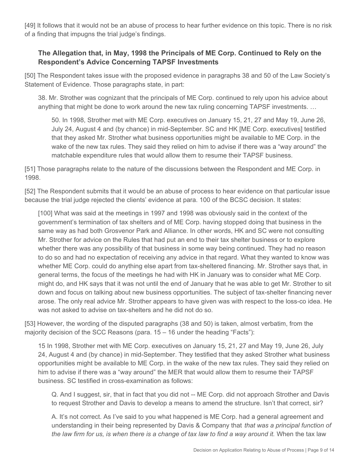[49] It follows that it would not be an abuse of process to hear further evidence on this topic. There is no risk of a finding that impugns the trial judge's findings.

## **The Allegation that, in May, 1998 the Principals of ME Corp. Continued to Rely on the Respondent's Advice Concerning TAPSF Investments**

[50] The Respondent takes issue with the proposed evidence in paragraphs 38 and 50 of the Law Society's Statement of Evidence. Those paragraphs state, in part:

38. Mr. Strother was cognizant that the principals of ME Corp. continued to rely upon his advice about anything that might be done to work around the new tax ruling concerning TAPSF investments. …

50. In 1998, Strother met with ME Corp. executives on January 15, 21, 27 and May 19, June 26, July 24, August 4 and (by chance) in mid-September. SC and HK [ME Corp. executives] testified that they asked Mr. Strother what business opportunities might be available to ME Corp. in the wake of the new tax rules. They said they relied on him to advise if there was a "way around" the matchable expenditure rules that would allow them to resume their TAPSF business.

[51] Those paragraphs relate to the nature of the discussions between the Respondent and ME Corp. in 1998.

[52] The Respondent submits that it would be an abuse of process to hear evidence on that particular issue because the trial judge rejected the clients' evidence at para. 100 of the BCSC decision. It states:

[100] What was said at the meetings in 1997 and 1998 was obviously said in the context of the government's termination of tax shelters and of ME Corp. having stopped doing that business in the same way as had both Grosvenor Park and Alliance. In other words, HK and SC were not consulting Mr. Strother for advice on the Rules that had put an end to their tax shelter business or to explore whether there was any possibility of that business in some way being continued. They had no reason to do so and had no expectation of receiving any advice in that regard. What they wanted to know was whether ME Corp. could do anything else apart from tax-sheltered financing. Mr. Strother says that, in general terms, the focus of the meetings he had with HK in January was to consider what ME Corp. might do, and HK says that it was not until the end of January that he was able to get Mr. Strother to sit down and focus on talking about new business opportunities. The subject of tax-shelter financing never arose. The only real advice Mr. Strother appears to have given was with respect to the loss-co idea. He was not asked to advise on tax-shelters and he did not do so.

[53] However, the wording of the disputed paragraphs (38 and 50) is taken, almost verbatim, from the majority decision of the SCC Reasons (para. 15 – 16 under the heading "Facts"):

15 In 1998, Strother met with ME Corp. executives on January 15, 21, 27 and May 19, June 26, July 24, August 4 and (by chance) in mid-September. They testified that they asked Strother what business opportunities might be available to ME Corp. in the wake of the new tax rules. They said they relied on him to advise if there was a "way around" the MER that would allow them to resume their TAPSF business. SC testified in cross-examination as follows:

Q. And I suggest, sir, that in fact that you did not -- ME Corp. did not approach Strother and Davis to request Strother and Davis to develop a means to amend the structure. Isn't that correct, sir?

A. It's not correct. As I've said to you what happened is ME Corp. had a general agreement and understanding in their being represented by Davis & Company that *that was a principal function of the law firm for us, is when there is a change of tax law to find a way around it.* When the tax law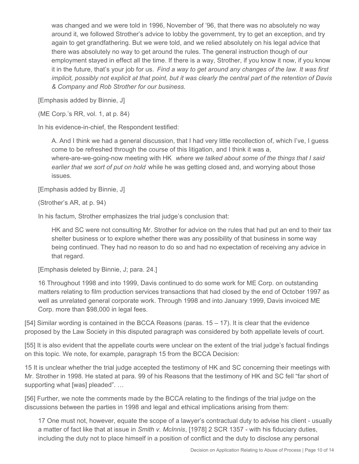was changed and we were told in 1996, November of '96, that there was no absolutely no way around it, we followed Strother's advice to lobby the government, try to get an exception, and try again to get grandfathering. But we were told, and we relied absolutely on his legal advice that there was absolutely no way to get around the rules. The general instruction though of our employment stayed in effect all the time. If there is a way, Strother, if you know it now, if you know it in the future, that's your job for us. *Find a way to get around any changes of the law. It was first implicit, possibly not explicit at that point, but it was clearly the central part of the retention of Davis & Company and Rob Strother for our business.*

[Emphasis added by Binnie, J]

(ME Corp.'s RR, vol. 1, at p. 84)

In his evidence-in-chief, the Respondent testified:

A. And I think we had a general discussion, that I had very little recollection of, which I've, I guess come to be refreshed through the course of this litigation, and I think it was a, where-are-we-going-now meeting with HK *where we talked about some of the things that I said earlier that we sort of put on hold* while he was getting closed and, and worrying about those issues.

[Emphasis added by Binnie, J]

(Strother's AR, at p. 94)

In his factum, Strother emphasizes the trial judge's conclusion that:

HK and SC were not consulting Mr. Strother for advice on the rules that had put an end to their tax shelter business or to explore whether there was any possibility of that business in some way being continued. They had no reason to do so and had no expectation of receiving any advice in that regard.

[Emphasis deleted by Binnie, J; para. 24.]

16 Throughout 1998 and into 1999, Davis continued to do some work for ME Corp. on outstanding matters relating to film production services transactions that had closed by the end of October 1997 as well as unrelated general corporate work. Through 1998 and into January 1999, Davis invoiced ME Corp. more than \$98,000 in legal fees.

 $[54]$  Similar wording is contained in the BCCA Reasons (paras.  $15 - 17$ ). It is clear that the evidence proposed by the Law Society in this disputed paragraph was considered by both appellate levels of court.

[55] It is also evident that the appellate courts were unclear on the extent of the trial judge's factual findings on this topic. We note, for example, paragraph 15 from the BCCA Decision:

15 It is unclear whether the trial judge accepted the testimony of HK and SC concerning their meetings with Mr. Strother in 1998. He stated at para. 99 of his Reasons that the testimony of HK and SC fell "far short of supporting what [was] pleaded". …

[56] Further, we note the comments made by the BCCA relating to the findings of the trial judge on the discussions between the parties in 1998 and legal and ethical implications arising from them:

17 One must not, however, equate the scope of a lawyer's contractual duty to advise his client - usually a matter of fact like that at issue in *Smith v. McInnis*, [1978] 2 SCR 1357 - with his fiduciary duties, including the duty not to place himself in a position of conflict and the duty to disclose any personal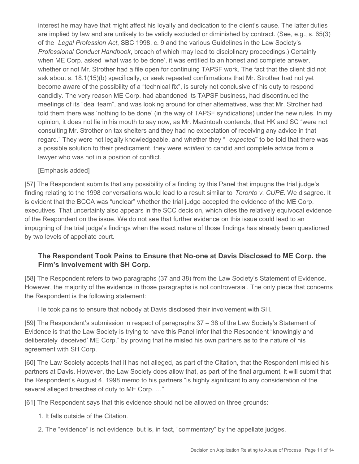interest he may have that might affect his loyalty and dedication to the client's cause. The latter duties are implied by law and are unlikely to be validly excluded or diminished by contract. (See, e.g., s. 65(3) of the *Legal Profession Act*, SBC 1998, c. 9 and the various Guidelines in the Law Society's *Professional Conduct Handbook*, breach of which may lead to disciplinary proceedings.) Certainly when ME Corp. asked 'what was to be done', it was entitled to an honest and complete answer, whether or not Mr. Strother had a file open for continuing TAPSF work. The fact that the client did not ask about s. 18.1(15)(b) specifically, or seek repeated confirmations that Mr. Strother had not yet become aware of the possibility of a "technical fix", is surely not conclusive of his duty to respond candidly. The very reason ME Corp. had abandoned its TAPSF business, had discontinued the meetings of its "deal team", and was looking around for other alternatives, was that Mr. Strother had told them there was 'nothing to be done' (in the way of TAPSF syndications) under the new rules. In my opinion, it does not lie in his mouth to say now, as Mr. Macintosh contends, that HK and SC "were not consulting Mr. Strother on tax shelters and they had no expectation of receiving any advice in that regard." They were not legally knowledgeable, and whether they " *expected*" to be told that there was a possible solution to their predicament, they were *entitled* to candid and complete advice from a lawyer who was not in a position of conflict.

#### [Emphasis added]

[57] The Respondent submits that any possibility of a finding by this Panel that impugns the trial judge's finding relating to the 1998 conversations would lead to a result similar to *Toronto v. CUPE*. We disagree. It is evident that the BCCA was "unclear" whether the trial judge accepted the evidence of the ME Corp. executives. That uncertainty also appears in the SCC decision, which cites the relatively equivocal evidence of the Respondent on the issue. We do not see that further evidence on this issue could lead to an impugning of the trial judge's findings when the exact nature of those findings has already been questioned by two levels of appellate court.

## **The Respondent Took Pains to Ensure that No-one at Davis Disclosed to ME Corp. the Firm's Involvement with SH Corp.**

[58] The Respondent refers to two paragraphs (37 and 38) from the Law Society's Statement of Evidence. However, the majority of the evidence in those paragraphs is not controversial. The only piece that concerns the Respondent is the following statement:

He took pains to ensure that nobody at Davis disclosed their involvement with SH.

[59] The Respondent's submission in respect of paragraphs 37 – 38 of the Law Society's Statement of Evidence is that the Law Society is trying to have this Panel infer that the Respondent "knowingly and deliberately 'deceived' ME Corp." by proving that he misled his own partners as to the nature of his agreement with SH Corp.

[60] The Law Society accepts that it has not alleged, as part of the Citation, that the Respondent misled his partners at Davis. However, the Law Society does allow that, as part of the final argument, it will submit that the Respondent's August 4, 1998 memo to his partners "is highly significant to any consideration of the several alleged breaches of duty to ME Corp. …"

[61] The Respondent says that this evidence should not be allowed on three grounds:

- 1. It falls outside of the Citation.
- 2. The "evidence" is not evidence, but is, in fact, "commentary" by the appellate judges.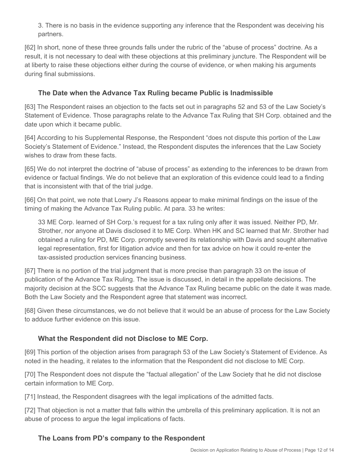3. There is no basis in the evidence supporting any inference that the Respondent was deceiving his partners.

[62] In short, none of these three grounds falls under the rubric of the "abuse of process" doctrine. As a result, it is not necessary to deal with these objections at this preliminary juncture. The Respondent will be at liberty to raise these objections either during the course of evidence, or when making his arguments during final submissions.

## **The Date when the Advance Tax Ruling became Public is Inadmissible**

[63] The Respondent raises an objection to the facts set out in paragraphs 52 and 53 of the Law Society's Statement of Evidence. Those paragraphs relate to the Advance Tax Ruling that SH Corp. obtained and the date upon which it became public.

[64] According to his Supplemental Response, the Respondent "does not dispute this portion of the Law Society's Statement of Evidence." Instead, the Respondent disputes the inferences that the Law Society wishes to draw from these facts.

[65] We do not interpret the doctrine of "abuse of process" as extending to the inferences to be drawn from evidence or factual findings. We do not believe that an exploration of this evidence could lead to a finding that is inconsistent with that of the trial judge.

[66] On that point, we note that Lowry J's Reasons appear to make minimal findings on the issue of the timing of making the Advance Tax Ruling public. At para. 33 he writes:

33 ME Corp. learned of SH Corp.'s request for a tax ruling only after it was issued. Neither PD, Mr. Strother, nor anyone at Davis disclosed it to ME Corp. When HK and SC learned that Mr. Strother had obtained a ruling for PD, ME Corp. promptly severed its relationship with Davis and sought alternative legal representation, first for litigation advice and then for tax advice on how it could re-enter the tax-assisted production services financing business.

[67] There is no portion of the trial judgment that is more precise than paragraph 33 on the issue of publication of the Advance Tax Ruling. The issue is discussed, in detail in the appellate decisions. The majority decision at the SCC suggests that the Advance Tax Ruling became public on the date it was made. Both the Law Society and the Respondent agree that statement was incorrect.

[68] Given these circumstances, we do not believe that it would be an abuse of process for the Law Society to adduce further evidence on this issue.

### **What the Respondent did not Disclose to ME Corp.**

[69] This portion of the objection arises from paragraph 53 of the Law Society's Statement of Evidence. As noted in the heading, it relates to the information that the Respondent did not disclose to ME Corp.

[70] The Respondent does not dispute the "factual allegation" of the Law Society that he did not disclose certain information to ME Corp.

[71] Instead, the Respondent disagrees with the legal implications of the admitted facts.

[72] That objection is not a matter that falls within the umbrella of this preliminary application. It is not an abuse of process to argue the legal implications of facts.

# **The Loans from PD's company to the Respondent**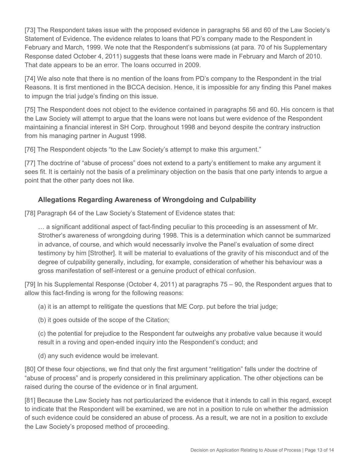[73] The Respondent takes issue with the proposed evidence in paragraphs 56 and 60 of the Law Society's Statement of Evidence. The evidence relates to loans that PD's company made to the Respondent in February and March, 1999. We note that the Respondent's submissions (at para. 70 of his Supplementary Response dated October 4, 2011) suggests that these loans were made in February and March of 2010. That date appears to be an error. The loans occurred in 2009.

[74] We also note that there is no mention of the loans from PD's company to the Respondent in the trial Reasons. It is first mentioned in the BCCA decision. Hence, it is impossible for any finding this Panel makes to impugn the trial judge's finding on this issue.

[75] The Respondent does not object to the evidence contained in paragraphs 56 and 60. His concern is that the Law Society will attempt to argue that the loans were not loans but were evidence of the Respondent maintaining a financial interest in SH Corp. throughout 1998 and beyond despite the contrary instruction from his managing partner in August 1998.

[76] The Respondent objects "to the Law Society's attempt to make this argument."

[77] The doctrine of "abuse of process" does not extend to a party's entitlement to make any argument it sees fit. It is certainly not the basis of a preliminary objection on the basis that one party intends to argue a point that the other party does not like.

### **Allegations Regarding Awareness of Wrongdoing and Culpability**

[78] Paragraph 64 of the Law Society's Statement of Evidence states that:

… a significant additional aspect of fact-finding peculiar to this proceeding is an assessment of Mr. Strother's awareness of wrongdoing during 1998. This is a determination which cannot be summarized in advance, of course, and which would necessarily involve the Panel's evaluation of some direct testimony by him [Strother]. It will be material to evaluations of the gravity of his misconduct and of the degree of culpability generally, including, for example, consideration of whether his behaviour was a gross manifestation of self-interest or a genuine product of ethical confusion.

[79] In his Supplemental Response (October 4, 2011) at paragraphs 75 – 90, the Respondent argues that to allow this fact-finding is wrong for the following reasons:

(a) it is an attempt to relitigate the questions that ME Corp. put before the trial judge;

(b) it goes outside of the scope of the Citation;

(c) the potential for prejudice to the Respondent far outweighs any probative value because it would result in a roving and open-ended inquiry into the Respondent's conduct; and

(d) any such evidence would be irrelevant.

[80] Of these four objections, we find that only the first argument "relitigation" falls under the doctrine of "abuse of process" and is properly considered in this preliminary application. The other objections can be raised during the course of the evidence or in final argument.

[81] Because the Law Society has not particularized the evidence that it intends to call in this regard, except to indicate that the Respondent will be examined, we are not in a position to rule on whether the admission of such evidence could be considered an abuse of process. As a result, we are not in a position to exclude the Law Society's proposed method of proceeding.